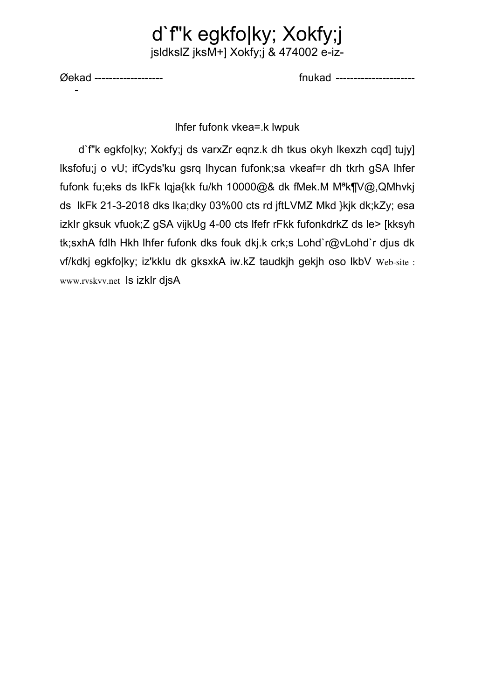## d`f"k egkfo|ky; Xokfy;j jsldkslZ jksM+] Xokfy;j & 474002 e-iz-

Øekad -------------------

fnukad ----------------------

Ihfer fufonk vkea=.k lwpuk

d'f"k egkfolky; Xokfy; ds varxZr egnz.k dh tkus okyh lkexzh cgd] tujy] Iksfofu;j o vU; ifCyds'ku gsrq lhycan fufonk;sa vkeaf=r dh tkrh gSA Ihfer fufonk fu;eks ds lkFk lqja{kk fu/kh 10000@& dk fMek.M M<sup>a</sup>k¶V@,QMhvkj ds IkFk 21-3-2018 dks Ika; dky 03%00 cts rd jftLVMZ Mkd } kik dk; kZy; esa izklr gksuk vfuok;Z gSA vijkUg 4-00 cts lfefr rFkk fufonkdrkZ ds le> [kksyh tk; sxhA fdlh Hkh Ihfer fufonk dks fouk dkj.k crk; s Lohd`r@vLohd`r djus dk vf/kdkj egkfo|ky; iz'kklu dk gksxkA iw.kZ taudkjh gekjh oso lkbV Web-site : www.rvskvv.net Is izklr djsA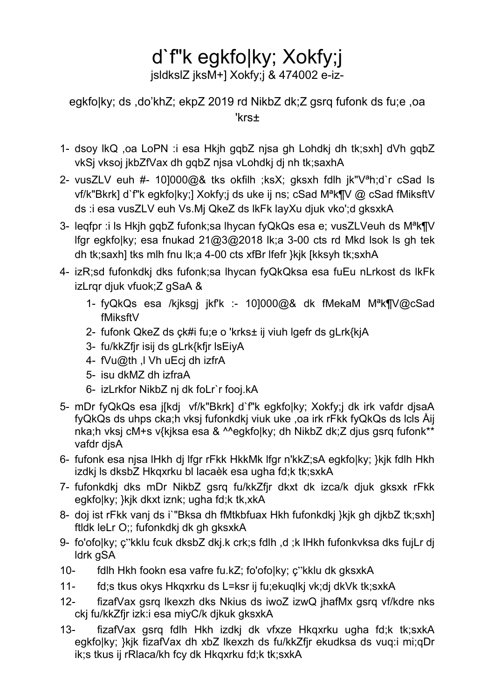# d`f"k egkfo|ky; Xokfy;j

jsldkslZ jksM+] Xokfy;j & 474002 e-iz-

### egkfo|ky; ds ,do'khZ; ekpZ 2019 rd NikbZ dk;Z gsrq fufonk ds fu;e ,oa 'krs±

- 1- dsoy lkQ ,oa LoPN :i esa Hkjh gqbZ njsa gh Lohdkj dh tk;sxh] dVh gqbZ vkSj vksoj jkbZfVax dh gqbZ njsa vLohdkj dj nh tk;saxhA
- 2- vusZLV euh #- 10]000@& tks okfilh ;ksX; gksxh fdlh jk"Vªh;d`r cSad ls vf/k"Bkrk] d`f"k egkfo|ky;] Xokfy;j ds uke ij ns; cSad Mªk¶V @ cSad fMiksftV ds :i esa vusZLV euh Vs.Mj QkeZ ds lkFk layXu djuk vko';d gksxkA
- 3- leqfpr :i ls Hkjh gqbZ fufonk;sa lhycan fyQkQs esa e; vusZLVeuh ds M<sup>a</sup>k¶V lfgr egkfo|ky; esa fnukad 21@3@2018 lk;a 3-00 cts rd Mkd lsok ls gh tek dh tk;saxh] tks mlh fnu lk;a 4-00 cts xfBr lfefr }kjk [kksyh tk;sxhA
- 4- izR;sd fufonkdkj dks fufonk;sa lhycan fyQkQksa esa fuEu nLrkost ds lkFk izLrqr djuk vfuok;Z gSaA &
	- 1- fyQkQs esa /kjksgj jkf'k :- 10]000@& dk fMekaM Mªk¶V@cSad fMiksftV
	- 2- fufonk QkeZ ds çk#i fu;e o 'krks± ij viuh lgefr ds gLrk{kjA
	- 3- fu/kkZfjr isij ds gLrk{kfjr lsEiyA
	- 4- fVu@th ,l Vh uEcj dh izfrA
	- 5- isu dkMZ dh izfraA
	- 6- izLrkfor NikbZ nj dk foLr`r fooj.kA
- 5- mDr fyQkQs esa j[kdj vf/k"Bkrk] d`f"k egkfo|ky; Xokfy;j dk irk vafdr djsaA fyQkQs ds uhps cka;h vksj fufonkdkj viuk uke ,oa irk rFkk fyQkQs ds lcls Åij nka;h vksj cM+s v{kjksa esa & ^^egkfo|ky; dh NikbZ dk;Z djus gsrq fufonk\*\* vafdr djsA
- 6- fufonk esa njsa lHkh dj lfgr rFkk HkkMk lfgr n'kkZ;sA egkfo|ky; }kjk fdlh Hkh izdkj ls dksbZ Hkqxrku bl lacaèk esa ugha fd;k tk;sxkA
- 7- fufonkdkj dks mDr NikbZ gsrq fu/kkZfjr dkxt dk izca/k djuk gksxk rFkk egkfo|ky; }kjk dkxt iznk; ugha fd;k tk,xkA
- 8- doj ist rFkk vanj ds i`"Bksa dh fMtkbfuax Hkh fufonkdkj }kjk gh djkbZ tk;sxh] ftldk leLr O;; fufonkdkj dk gh gksxkA
- 9- fo'ofo|ky; ç"kklu fcuk dksbZ dkj.k crk;s fdlh ,d ;k lHkh fufonkvksa dks fujLr dj ldrk gSA
- 10- fdlh Hkh fookn esa vafre fu.kZ; fo'ofo|ky; ç"kklu dk gksxkA
- 11- fd;s tkus okys Hkqxrku ds L=ksr ij fu;ekuqlkj vk;dj dkVk tk;sxkA
- 12- fizafVax gsrq lkexzh dks Nkius ds iwoZ izwQ jhafMx gsrq vf/kdre nks ckj fu/kkZfjr izk:i esa miyC/k djkuk gksxkA
- 13- fizafVax gsrq fdlh Hkh izdkj dk vfxze Hkqxrku ugha fd;k tk;sxkA egkfo|ky; }kjk fizafVax dh xbZ lkexzh ds fu/kkZfjr ekudksa ds vuq:i mi;qDr ik;s tkus ij rRlaca/kh fcy dk Hkqxrku fd;k tk;sxkA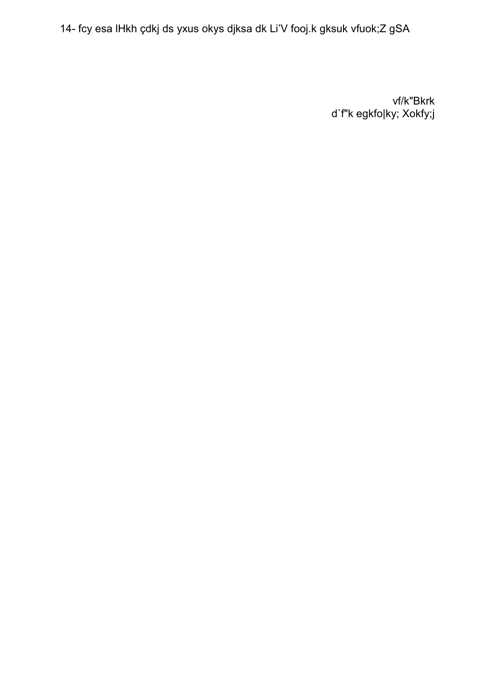14- fcy esa IHkh çdkj ds yxus okys djksa dk Li'V fooj.k gksuk vfuok;Z gSA

vf/k"Bkrk d'f"k egkfo|ky; Xokfy;j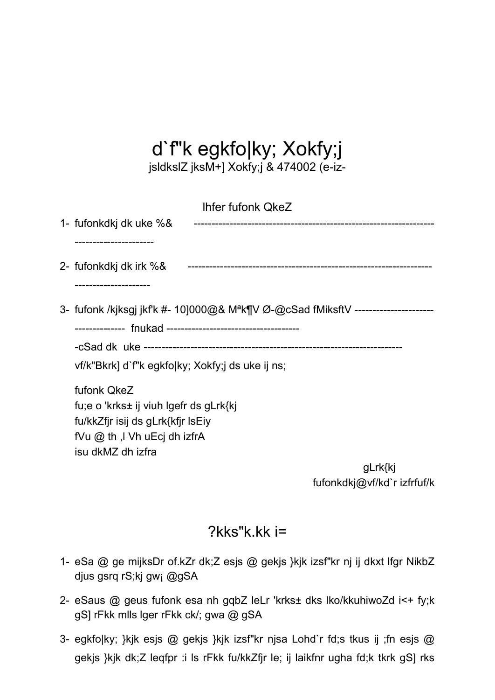# d`f"k egkfo|ky; Xokfy;j

jsldkslZ jksM+] Xokfy;j & 474002 (e-iz-

| <b>Ihfer fufonk QkeZ</b>                                                                      |         |
|-----------------------------------------------------------------------------------------------|---------|
| 1- fufonkdkj dk uke %&                                                                        |         |
|                                                                                               |         |
| 2- fufonkdkj dk irk %&                                                                        |         |
| .-------------------                                                                          |         |
| 3- fufonk /kjksgj jkf'k #- 10]000@& M <sup>a</sup> k¶V Ø-@cSad fMiksftV --------------------- |         |
|                                                                                               |         |
|                                                                                               |         |
| vf/k"Bkrk] d`f"k egkfolky; Xokfy; ds uke ij ns;                                               |         |
| fufonk QkeZ                                                                                   |         |
| fu;e o 'krks± ij viuh Igefr ds gLrk{kj                                                        |         |
| fu/kkZfjr isij ds gLrk{kfjr IsEiy                                                             |         |
| fVu @ th ,I Vh uEcj dh izfrA                                                                  |         |
| isu dkMZ dh izfra                                                                             |         |
|                                                                                               | gLrk{kj |

fufonkdkj@vf/kd`r izfrfuf/k

## ?kks"k.kk i=

- 1- eSa @ ge mijksDr of.kZr dk;Z esjs @ gekjs }kjk izsf"kr nj ij dkxt lfgr NikbZ djus gsrq rS;kj gw¡ @gSA
- 2- eSaus @ geus fufonk esa nh gqbZ leLr 'krks± dks lko/kkuhiwoZd i<+ fy;k gS] rFkk mlls lger rFkk ck/; gwa @ gSA
- 3- egkfo|ky; }kjk esjs @ gekjs }kjk izsf"kr njsa Lohd`r fd;s tkus ij ;fn esjs @ gekjs }kjk dk;Z leqfpr :i ls rFkk fu/kkZfjr le; ij laikfnr ugha fd;k tkrk gS] rks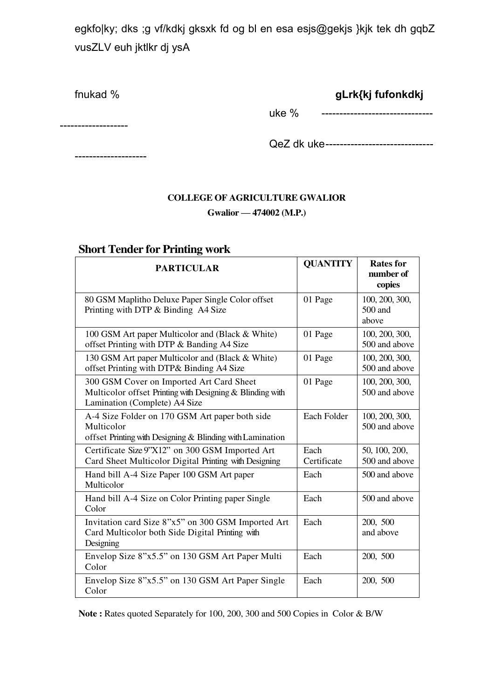egkfo|ky; dks ;g vf/kdkj gksxk fd og bl en esa esjs@gekjs }kjk tek dh gqbZ vusZLV euh jktlkr dj ysA

fnukad % **gLrk{kj fufonkdkj**

-------------------

--------------------

uke % -------------------------------

QeZ dk uke ------------------------------

#### **COLLEGE OF AGRICULTURE GWALIOR**

#### **Gwalior — 474002 (M.P.)**

#### **Short Tender for Printing work**

| <b>PARTICULAR</b>                                                                                                                      | <b>QUANTITY</b>     | <b>Rates for</b><br>number of<br>copies |
|----------------------------------------------------------------------------------------------------------------------------------------|---------------------|-----------------------------------------|
| 80 GSM Maplitho Deluxe Paper Single Color offset<br>Printing with DTP & Binding A4 Size                                                | 01 Page             | 100, 200, 300,<br>500 and<br>above      |
| 100 GSM Art paper Multicolor and (Black & White)<br>offset Printing with DTP & Banding A4 Size                                         | 01 Page             | 100, 200, 300,<br>500 and above         |
| 130 GSM Art paper Multicolor and (Black & White)<br>offset Printing with DTP& Binding A4 Size                                          | 01 Page             | 100, 200, 300,<br>500 and above         |
| 300 GSM Cover on Imported Art Card Sheet<br>Multicolor offset Printing with Designing & Blinding with<br>Lamination (Complete) A4 Size | 01 Page             | 100, 200, 300,<br>500 and above         |
| A-4 Size Folder on 170 GSM Art paper both side<br>Multicolor<br>offset Printing with Designing & Blinding with Lamination              | Each Folder         | 100, 200, 300,<br>500 and above         |
| Certificate Size 9"X12" on 300 GSM Imported Art<br>Card Sheet Multicolor Digital Printing with Designing                               | Each<br>Certificate | 50, 100, 200,<br>500 and above          |
| Hand bill A-4 Size Paper 100 GSM Art paper<br>Multicolor                                                                               | Each                | 500 and above                           |
| Hand bill A-4 Size on Color Printing paper Single<br>Color                                                                             | Each                | 500 and above                           |
| Invitation card Size 8"x5" on 300 GSM Imported Art<br>Card Multicolor both Side Digital Printing with<br>Designing                     | Each                | 200, 500<br>and above                   |
| Envelop Size 8"x5.5" on 130 GSM Art Paper Multi<br>Color                                                                               | Each                | 200, 500                                |
| Envelop Size 8"x5.5" on 130 GSM Art Paper Single<br>Color                                                                              | Each                | 200, 500                                |

**Note :** Rates quoted Separately for 100, 200, 300 and 500 Copies in Color & B/W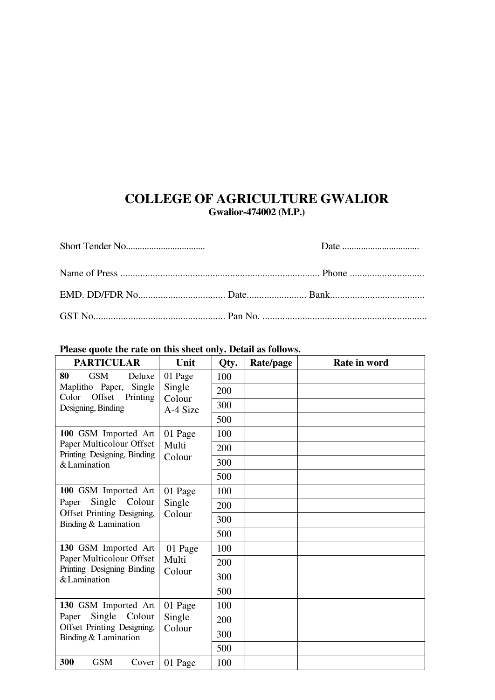### **COLLEGE OF AGRICULTURE GWALIOR Gwalior-474002 (M.P.)**

#### **Please quote the rate on this sheet only. Detail as follows.**

| <b>PARTICULAR</b>                                                 | Unit                                    | Qty. | Rate/page | Rate in word |
|-------------------------------------------------------------------|-----------------------------------------|------|-----------|--------------|
| 80<br><b>GSM</b><br>Deluxe<br>Maplitho Paper,<br>Single<br>Offset | 01 Page<br>Single<br>Colour<br>A-4 Size | 100  |           |              |
|                                                                   |                                         | 200  |           |              |
| Color<br>Printing<br>Designing, Binding                           |                                         | 300  |           |              |
|                                                                   |                                         | 500  |           |              |
| 100 GSM Imported Art                                              | 01 Page<br>Multi<br>Colour              | 100  |           |              |
| Paper Multicolour Offset<br>Printing Designing, Binding           |                                         | 200  |           |              |
| & Lamination                                                      |                                         | 300  |           |              |
|                                                                   |                                         | 500  |           |              |
| 100 GSM Imported Art                                              | 01 Page<br>Single<br>Colour             | 100  |           |              |
| Single Colour<br>Paper                                            |                                         | 200  |           |              |
| Offset Printing Designing,<br>Binding & Lamination                |                                         | 300  |           |              |
|                                                                   |                                         | 500  |           |              |
| 130 GSM Imported Art                                              | 01 Page<br>Multi<br>Colour              | 100  |           |              |
| Paper Multicolour Offset<br>Printing Designing Binding            |                                         | 200  |           |              |
| & Lamination                                                      |                                         | 300  |           |              |
|                                                                   |                                         | 500  |           |              |
| 130 GSM Imported Art<br>Single<br>Colour<br>Paper                 | 01 Page<br>Single<br>Colour             | 100  |           |              |
|                                                                   |                                         | 200  |           |              |
| Offset Printing Designing,<br>Binding & Lamination                |                                         | 300  |           |              |
|                                                                   |                                         | 500  |           |              |
| 300<br><b>GSM</b><br>Cover                                        | 01 Page                                 | 100  |           |              |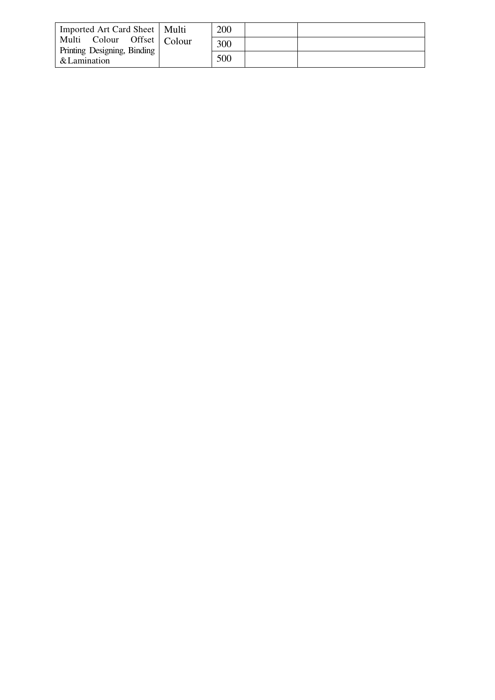| Imported Art Card Sheet   Multi                                             |  | 200 |  |
|-----------------------------------------------------------------------------|--|-----|--|
| Multi Colour Offset   Colour<br>Printing Designing, Binding<br>& Lamination |  | 300 |  |
|                                                                             |  | 500 |  |